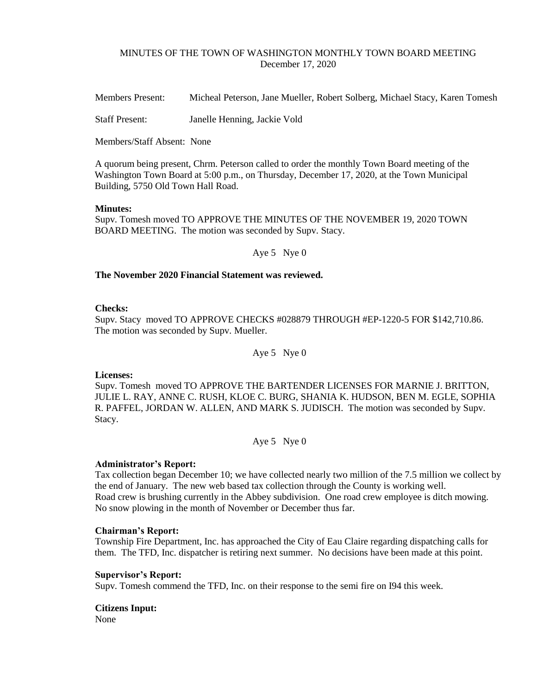## MINUTES OF THE TOWN OF WASHINGTON MONTHLY TOWN BOARD MEETING December 17, 2020

Members Present: Micheal Peterson, Jane Mueller, Robert Solberg, Michael Stacy, Karen Tomesh

Staff Present: Janelle Henning, Jackie Vold

Members/Staff Absent: None

A quorum being present, Chrm. Peterson called to order the monthly Town Board meeting of the Washington Town Board at 5:00 p.m., on Thursday, December 17, 2020, at the Town Municipal Building, 5750 Old Town Hall Road.

#### **Minutes:**

Supv. Tomesh moved TO APPROVE THE MINUTES OF THE NOVEMBER 19, 2020 TOWN BOARD MEETING. The motion was seconded by Supv. Stacy.

Aye 5 Nye 0

## **The November 2020 Financial Statement was reviewed.**

## **Checks:**

Supv. Stacy moved TO APPROVE CHECKS #028879 THROUGH #EP-1220-5 FOR \$142,710.86. The motion was seconded by Supv. Mueller.

Aye 5 Nye 0

**Licenses:**

Supv. Tomesh moved TO APPROVE THE BARTENDER LICENSES FOR MARNIE J. BRITTON, JULIE L. RAY, ANNE C. RUSH, KLOE C. BURG, SHANIA K. HUDSON, BEN M. EGLE, SOPHIA R. PAFFEL, JORDAN W. ALLEN, AND MARK S. JUDISCH. The motion was seconded by Supv. Stacy.

Aye 5 Nye 0

#### **Administrator's Report:**

Tax collection began December 10; we have collected nearly two million of the 7.5 million we collect by the end of January. The new web based tax collection through the County is working well. Road crew is brushing currently in the Abbey subdivision. One road crew employee is ditch mowing. No snow plowing in the month of November or December thus far.

## **Chairman's Report:**

Township Fire Department, Inc. has approached the City of Eau Claire regarding dispatching calls for them. The TFD, Inc. dispatcher is retiring next summer. No decisions have been made at this point.

#### **Supervisor's Report:**

Supv. Tomesh commend the TFD, Inc. on their response to the semi fire on I94 this week.

**Citizens Input:** None